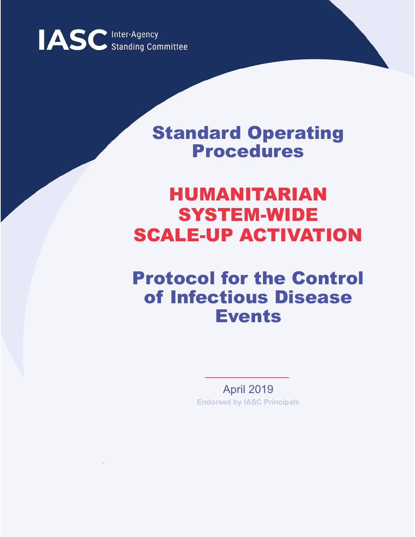

## Standard Operating Procedures

# HUMANITARIAN SYSTEM-WIDE SCALE-UP ACTIVATION

## Protocol for the Control of Infectious Disease Events

April 2019 **Endorsed by IASC Principals**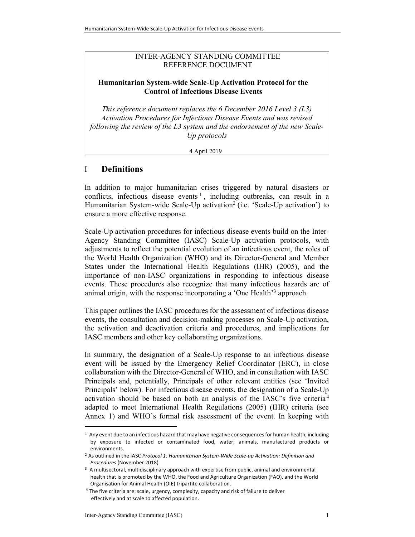#### INTER-AGENCY STANDING COMMITTEE REFERENCE DOCUMENT

#### Humanitarian System-wide Scale-Up Activation Protocol for the Control of Infectious Disease Events

This reference document replaces the 6 December 2016 Level 3 (L3) Activation Procedures for Infectious Disease Events and was revised following the review of the L3 system and the endorsement of the new Scale-Up protocols

4 April 2019

### I Definitions

In addition to major humanitarian crises triggered by natural disasters or conflicts, infectious disease events<sup>1</sup>, including outbreaks, can result in a Humanitarian System-wide Scale-Up activation<sup>2</sup> (i.e. 'Scale-Up activation') to ensure a more effective response.

Scale-Up activation procedures for infectious disease events build on the Inter-Agency Standing Committee (IASC) Scale-Up activation protocols, with adjustments to reflect the potential evolution of an infectious event, the roles of the World Health Organization (WHO) and its Director-General and Member States under the International Health Regulations (IHR) (2005), and the importance of non-IASC organizations in responding to infectious disease events. These procedures also recognize that many infectious hazards are of animal origin, with the response incorporating a 'One Health'<sup>3</sup> approach.

This paper outlines the IASC procedures for the assessment of infectious disease events, the consultation and decision-making processes on Scale-Up activation, the activation and deactivation criteria and procedures, and implications for IASC members and other key collaborating organizations.

In summary, the designation of a Scale-Up response to an infectious disease event will be issued by the Emergency Relief Coordinator (ERC), in close collaboration with the Director-General of WHO, and in consultation with IASC Principals and, potentially, Principals of other relevant entities (see 'Invited Principals' below). For infectious disease events, the designation of a Scale-Up activation should be based on both an analysis of the IASC's five criteria <sup>4</sup> adapted to meet International Health Regulations (2005) (IHR) criteria (see Annex 1) and WHO's formal risk assessment of the event. In keeping with

l

<sup>1</sup> Any event due to an infectious hazard that may have negative consequences for human health, including by exposure to infected or contaminated food, water, animals, manufactured products or environments.

<sup>&</sup>lt;sup>2</sup> As outlined in the IASC Protocol 1: Humanitarian System-Wide Scale-up Activation: Definition and Procedures (November 2018).

<sup>&</sup>lt;sup>3</sup> A multisectoral, multidisciplinary approach with expertise from public, animal and environmental health that is promoted by the WHO, the Food and Agriculture Organization (FAO), and the World Organisation for Animal Health (OIE) tripartite collaboration.

<sup>&</sup>lt;sup>4</sup> The five criteria are: scale, urgency, complexity, capacity and risk of failure to deliver effectively and at scale to affected population.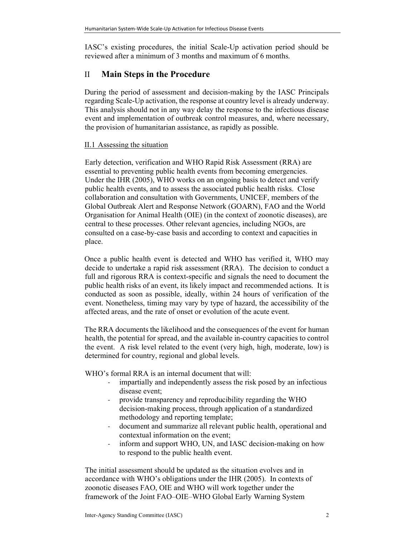IASC's existing procedures, the initial Scale-Up activation period should be reviewed after a minimum of 3 months and maximum of 6 months.

### II Main Steps in the Procedure

During the period of assessment and decision-making by the IASC Principals regarding Scale-Up activation, the response at country level is already underway. This analysis should not in any way delay the response to the infectious disease event and implementation of outbreak control measures, and, where necessary, the provision of humanitarian assistance, as rapidly as possible.

#### II.1 Assessing the situation

Early detection, verification and WHO Rapid Risk Assessment (RRA) are essential to preventing public health events from becoming emergencies. Under the IHR (2005), WHO works on an ongoing basis to detect and verify public health events, and to assess the associated public health risks. Close collaboration and consultation with Governments, UNICEF, members of the Global Outbreak Alert and Response Network (GOARN), FAO and the World Organisation for Animal Health (OIE) (in the context of zoonotic diseases), are central to these processes. Other relevant agencies, including NGOs, are consulted on a case-by-case basis and according to context and capacities in place.

Once a public health event is detected and WHO has verified it, WHO may decide to undertake a rapid risk assessment (RRA). The decision to conduct a full and rigorous RRA is context-specific and signals the need to document the public health risks of an event, its likely impact and recommended actions. It is conducted as soon as possible, ideally, within 24 hours of verification of the event. Nonetheless, timing may vary by type of hazard, the accessibility of the affected areas, and the rate of onset or evolution of the acute event.

The RRA documents the likelihood and the consequences of the event for human health, the potential for spread, and the available in-country capacities to control the event. A risk level related to the event (very high, high, moderate, low) is determined for country, regional and global levels.

WHO's formal RRA is an internal document that will:

- impartially and independently assess the risk posed by an infectious disease event;
- provide transparency and reproducibility regarding the WHO decision-making process, through application of a standardized methodology and reporting template;
- document and summarize all relevant public health, operational and contextual information on the event;
- inform and support WHO, UN, and IASC decision-making on how to respond to the public health event.

The initial assessment should be updated as the situation evolves and in accordance with WHO's obligations under the IHR (2005). In contexts of zoonotic diseases FAO, OIE and WHO will work together under the framework of the Joint FAO–OIE–WHO Global Early Warning System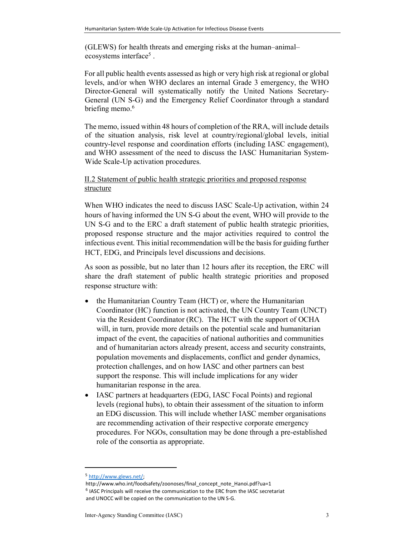(GLEWS) for health threats and emerging risks at the human–animal– ecosystems interface<sup>5</sup>.

For all public health events assessed as high or very high risk at regional or global levels, and/or when WHO declares an internal Grade 3 emergency, the WHO Director-General will systematically notify the United Nations Secretary-General (UN S-G) and the Emergency Relief Coordinator through a standard briefing memo.<sup>6</sup>

The memo, issued within 48 hours of completion of the RRA, will include details of the situation analysis, risk level at country/regional/global levels, initial country-level response and coordination efforts (including IASC engagement), and WHO assessment of the need to discuss the IASC Humanitarian System-Wide Scale-Up activation procedures.

#### II.2 Statement of public health strategic priorities and proposed response structure

When WHO indicates the need to discuss IASC Scale-Up activation, within 24 hours of having informed the UN S-G about the event, WHO will provide to the UN S-G and to the ERC a draft statement of public health strategic priorities, proposed response structure and the major activities required to control the infectious event. This initial recommendation will be the basis for guiding further HCT, EDG, and Principals level discussions and decisions.

As soon as possible, but no later than 12 hours after its reception, the ERC will share the draft statement of public health strategic priorities and proposed response structure with:

- the Humanitarian Country Team (HCT) or, where the Humanitarian Coordinator (HC) function is not activated, the UN Country Team (UNCT) via the Resident Coordinator (RC). The HCT with the support of OCHA will, in turn, provide more details on the potential scale and humanitarian impact of the event, the capacities of national authorities and communities and of humanitarian actors already present, access and security constraints, population movements and displacements, conflict and gender dynamics, protection challenges, and on how IASC and other partners can best support the response. This will include implications for any wider humanitarian response in the area.
- IASC partners at headquarters (EDG, IASC Focal Points) and regional levels (regional hubs), to obtain their assessment of the situation to inform an EDG discussion. This will include whether IASC member organisations are recommending activation of their respective corporate emergency procedures. For NGOs, consultation may be done through a pre-established role of the consortia as appropriate.

<sup>5</sup> http://www.glews.net/;

http://www.who.int/foodsafety/zoonoses/final\_concept\_note\_Hanoi.pdf?ua=1 <sup>6</sup> IASC Principals will receive the communication to the ERC from the IASC secretariat and UNOCC will be copied on the communication to the UN S-G.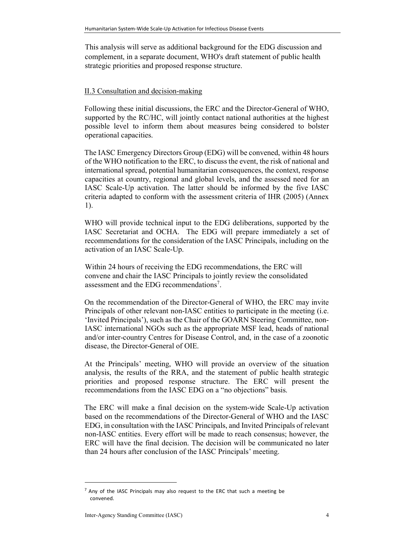This analysis will serve as additional background for the EDG discussion and complement, in a separate document, WHO's draft statement of public health strategic priorities and proposed response structure.

#### II.3 Consultation and decision-making

Following these initial discussions, the ERC and the Director-General of WHO, supported by the RC/HC, will jointly contact national authorities at the highest possible level to inform them about measures being considered to bolster operational capacities.

The IASC Emergency Directors Group (EDG) will be convened, within 48 hours of the WHO notification to the ERC, to discuss the event, the risk of national and international spread, potential humanitarian consequences, the context, response capacities at country, regional and global levels, and the assessed need for an IASC Scale-Up activation. The latter should be informed by the five IASC criteria adapted to conform with the assessment criteria of IHR (2005) (Annex 1).

WHO will provide technical input to the EDG deliberations, supported by the IASC Secretariat and OCHA. The EDG will prepare immediately a set of recommendations for the consideration of the IASC Principals, including on the activation of an IASC Scale-Up.

Within 24 hours of receiving the EDG recommendations, the ERC will convene and chair the IASC Principals to jointly review the consolidated assessment and the EDG recommendations<sup>7</sup>.

On the recommendation of the Director-General of WHO, the ERC may invite Principals of other relevant non-IASC entities to participate in the meeting (i.e. 'Invited Principals'), such as the Chair of the GOARN Steering Committee, non-IASC international NGOs such as the appropriate MSF lead, heads of national and/or inter-country Centres for Disease Control, and, in the case of a zoonotic disease, the Director-General of OIE.

At the Principals' meeting, WHO will provide an overview of the situation analysis, the results of the RRA, and the statement of public health strategic priorities and proposed response structure. The ERC will present the recommendations from the IASC EDG on a "no objections" basis.

The ERC will make a final decision on the system-wide Scale-Up activation based on the recommendations of the Director-General of WHO and the IASC EDG, in consultation with the IASC Principals, and Invited Principals of relevant non-IASC entities. Every effort will be made to reach consensus; however, the ERC will have the final decision. The decision will be communicated no later than 24 hours after conclusion of the IASC Principals' meeting.

 $<sup>7</sup>$  Any of the IASC Principals may also request to the ERC that such a meeting be</sup> convened.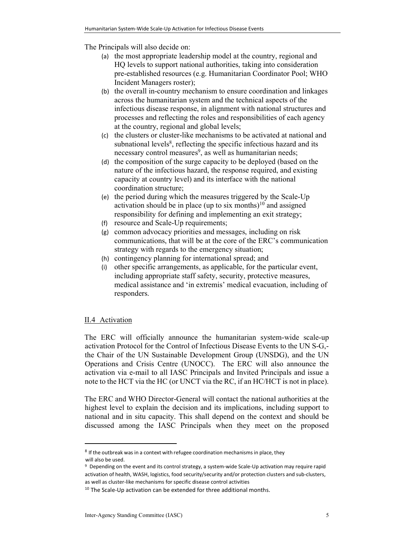The Principals will also decide on:

- (a) the most appropriate leadership model at the country, regional and HQ levels to support national authorities, taking into consideration pre-established resources (e.g. Humanitarian Coordinator Pool; WHO Incident Managers roster);
- (b) the overall in-country mechanism to ensure coordination and linkages across the humanitarian system and the technical aspects of the infectious disease response, in alignment with national structures and processes and reflecting the roles and responsibilities of each agency at the country, regional and global levels;
- (c) the clusters or cluster-like mechanisms to be activated at national and subnational levels<sup>8</sup>, reflecting the specific infectious hazard and its necessary control measures<sup>9</sup>, as well as humanitarian needs;
- (d) the composition of the surge capacity to be deployed (based on the nature of the infectious hazard, the response required, and existing capacity at country level) and its interface with the national coordination structure;
- (e) the period during which the measures triggered by the Scale-Up activation should be in place (up to six months)<sup>10</sup> and assigned responsibility for defining and implementing an exit strategy;
- (f) resource and Scale-Up requirements;
- (g) common advocacy priorities and messages, including on risk communications, that will be at the core of the ERC's communication strategy with regards to the emergency situation;
- (h) contingency planning for international spread; and
- (i) other specific arrangements, as applicable, for the particular event, including appropriate staff safety, security, protective measures, medical assistance and 'in extremis' medical evacuation, including of responders.

#### II.4 Activation

 $\overline{a}$ 

The ERC will officially announce the humanitarian system-wide scale-up activation Protocol for the Control of Infectious Disease Events to the UN S-G, the Chair of the UN Sustainable Development Group (UNSDG), and the UN Operations and Crisis Centre (UNOCC). The ERC will also announce the activation via e-mail to all IASC Principals and Invited Principals and issue a note to the HCT via the HC (or UNCT via the RC, if an HC/HCT is not in place).

The ERC and WHO Director-General will contact the national authorities at the highest level to explain the decision and its implications, including support to national and in situ capacity. This shall depend on the context and should be discussed among the IASC Principals when they meet on the proposed

 $8$  If the outbreak was in a context with refugee coordination mechanisms in place, they will also be used.

<sup>9</sup> Depending on the event and its control strategy, a system-wide Scale-Up activation may require rapid activation of health, WASH, logistics, food security/security and/or protection clusters and sub-clusters, as well as cluster-like mechanisms for specific disease control activities

<sup>&</sup>lt;sup>10</sup> The Scale-Up activation can be extended for three additional months.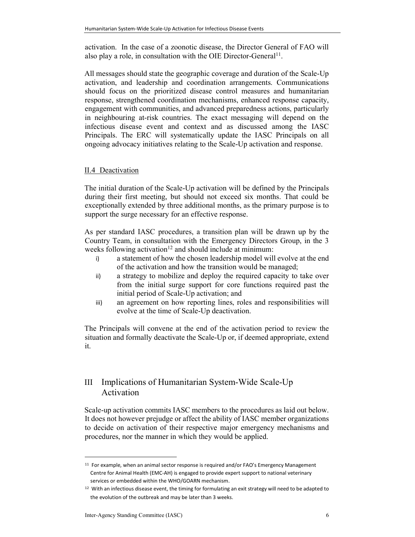activation. In the case of a zoonotic disease, the Director General of FAO will also play a role, in consultation with the OIE Director-General<sup>11</sup>.

All messages should state the geographic coverage and duration of the Scale-Up activation, and leadership and coordination arrangements. Communications should focus on the prioritized disease control measures and humanitarian response, strengthened coordination mechanisms, enhanced response capacity, engagement with communities, and advanced preparedness actions, particularly in neighbouring at-risk countries. The exact messaging will depend on the infectious disease event and context and as discussed among the IASC Principals. The ERC will systematically update the IASC Principals on all ongoing advocacy initiatives relating to the Scale-Up activation and response.

#### II.4 Deactivation

The initial duration of the Scale-Up activation will be defined by the Principals during their first meeting, but should not exceed six months. That could be exceptionally extended by three additional months, as the primary purpose is to support the surge necessary for an effective response.

As per standard IASC procedures, a transition plan will be drawn up by the Country Team, in consultation with the Emergency Directors Group, in the 3 weeks following activation<sup>12</sup> and should include at minimum:

- i) a statement of how the chosen leadership model will evolve at the end of the activation and how the transition would be managed;
- ii) a strategy to mobilize and deploy the required capacity to take over from the initial surge support for core functions required past the initial period of Scale-Up activation; and
- iii) an agreement on how reporting lines, roles and responsibilities will evolve at the time of Scale-Up deactivation.

The Principals will convene at the end of the activation period to review the situation and formally deactivate the Scale-Up or, if deemed appropriate, extend it.

## III Implications of Humanitarian System-Wide Scale-Up Activation

Scale-up activation commits IASC members to the procedures as laid out below. It does not however prejudge or affect the ability of IASC member organizations to decide on activation of their respective major emergency mechanisms and procedures, nor the manner in which they would be applied.

<sup>&</sup>lt;sup>11</sup> For example, when an animal sector response is required and/or FAO's Emergency Management Centre for Animal Health (EMC-AH) is engaged to provide expert support to national veterinary services or embedded within the WHO/GOARN mechanism.

<sup>&</sup>lt;sup>12</sup> With an infectious disease event, the timing for formulating an exit strategy will need to be adapted to the evolution of the outbreak and may be later than 3 weeks.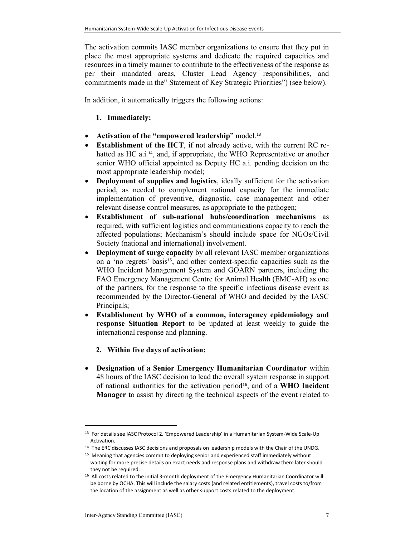The activation commits IASC member organizations to ensure that they put in place the most appropriate systems and dedicate the required capacities and resources in a timely manner to contribute to the effectiveness of the response as per their mandated areas, Cluster Lead Agency responsibilities, and commitments made in the" Statement of Key Strategic Priorities") (see below).

In addition, it automatically triggers the following actions:

#### 1. Immediately:

- Activation of the "empowered leadership" model.<sup>13</sup>
- Establishment of the HCT, if not already active, with the current RC rehatted as HC a.i.<sup>14</sup>, and, if appropriate, the WHO Representative or another senior WHO official appointed as Deputy HC a.i. pending decision on the most appropriate leadership model;
- Deployment of supplies and logistics, ideally sufficient for the activation period, as needed to complement national capacity for the immediate implementation of preventive, diagnostic, case management and other relevant disease control measures, as appropriate to the pathogen;
- Establishment of sub-national hubs/coordination mechanisms as required, with sufficient logistics and communications capacity to reach the affected populations; Mechanism's should include space for NGOs/Civil Society (national and international) involvement.
- Deployment of surge capacity by all relevant IASC member organizations on a 'no regrets' basis<sup>15</sup>, and other context-specific capacities such as the WHO Incident Management System and GOARN partners, including the FAO Emergency Management Centre for Animal Health (EMC-AH) as one of the partners, for the response to the specific infectious disease event as recommended by the Director-General of WHO and decided by the IASC Principals;
- Establishment by WHO of a common, interagency epidemiology and response Situation Report to be updated at least weekly to guide the international response and planning.
	- 2. Within five days of activation:
- Designation of a Senior Emergency Humanitarian Coordinator within 48 hours of the IASC decision to lead the overall system response in support of national authorities for the activation period<sup>16</sup>, and of a WHO Incident Manager to assist by directing the technical aspects of the event related to

<sup>&</sup>lt;sup>13</sup> For details see IASC Protocol 2. 'Empowered Leadership' in a Humanitarian System-Wide Scale-Up Activation.

<sup>&</sup>lt;sup>14</sup> The ERC discusses IASC decisions and proposals on leadership models with the Chair of the UNDG.

<sup>&</sup>lt;sup>15</sup> Meaning that agencies commit to deploying senior and experienced staff immediately without waiting for more precise details on exact needs and response plans and withdraw them later should they not be required.

<sup>16</sup> All costs related to the initial 3-month deployment of the Emergency Humanitarian Coordinator will be borne by OCHA. This will include the salary costs (and related entitlements), travel costs to/from the location of the assignment as well as other support costs related to the deployment.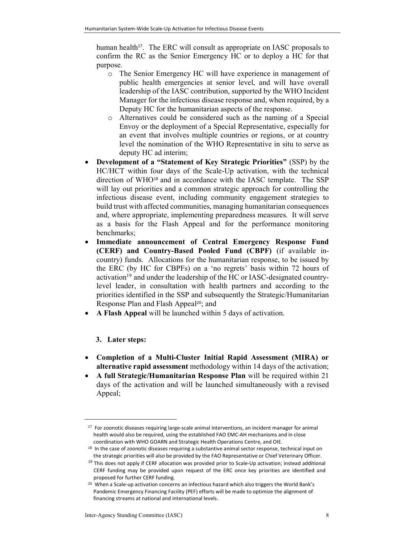human health<sup>17</sup>. The ERC will consult as appropriate on IASC proposals to confirm the RC as the Senior Emergency HC or to deploy a HC for that purpose.

- o The Senior Emergency HC will have experience in management of public health emergencies at senior level, and will have overall leadership of the IASC contribution, supported by the WHO Incident Manager for the infectious disease response and, when required, by a Deputy HC for the humanitarian aspects of the response.
- o Alternatives could be considered such as the naming of a Special Envoy or the deployment of a Special Representative, especially for an event that involves multiple countries or regions, or at country level the nomination of the WHO Representative in situ to serve as deputy HC ad interim;
- Development of a "Statement of Key Strategic Priorities" (SSP) by the HC/HCT within four days of the Scale-Up activation, with the technical direction of WHO<sup>18</sup> and in accordance with the IASC template. The SSP will lay out priorities and a common strategic approach for controlling the infectious disease event, including community engagement strategies to build trust with affected communities, managing humanitarian consequences and, where appropriate, implementing preparedness measures. It will serve as a basis for the Flash Appeal and for the performance monitoring benchmarks;
- Immediate announcement of Central Emergency Response Fund (CERF) and Country-Based Pooled Fund (CBPF) (if available incountry) funds. Allocations for the humanitarian response, to be issued by the ERC (by HC for CBPFs) on a 'no regrets' basis within 72 hours of activation<sup>19</sup> and under the leadership of the HC or IASC-designated countrylevel leader, in consultation with health partners and according to the priorities identified in the SSP and subsequently the Strategic/Humanitarian Response Plan and Flash Appeal<sup>20</sup>; and
- A Flash Appeal will be launched within 5 days of activation.

#### 3. Later steps:

l

- Completion of a Multi-Cluster Initial Rapid Assessment (MIRA) or alternative rapid assessment methodology within 14 days of the activation;
- A full Strategic/Humanitarian Response Plan will be required within 21 days of the activation and will be launched simultaneously with a revised Appeal;

<sup>&</sup>lt;sup>17</sup> For zoonotic diseases requiring large-scale animal interventions, an incident manager for animal health would also be required, using the established FAO EMC-AH mechanisms and in close coordination with WHO GOARN and Strategic Health Operations Centre, and OIE.

<sup>&</sup>lt;sup>18</sup> In the case of zoonotic diseases requiring a substantive animal sector response, technical input on the strategic priorities will also be provided by the FAO Representative or Chief Veterinary Officer.

 $19$  This does not apply if CERF allocation was provided prior to Scale-Up activation; instead additional CERF funding may be provided upon request of the ERC once key priorities are identified and proposed for further CERF funding.

<sup>20</sup> When a Scale-up activation concerns an infectious hazard which also triggers the World Bank's Pandemic Emergency Financing Facility (PEF) efforts will be made to optimize the alignment of financing streams at national and international levels.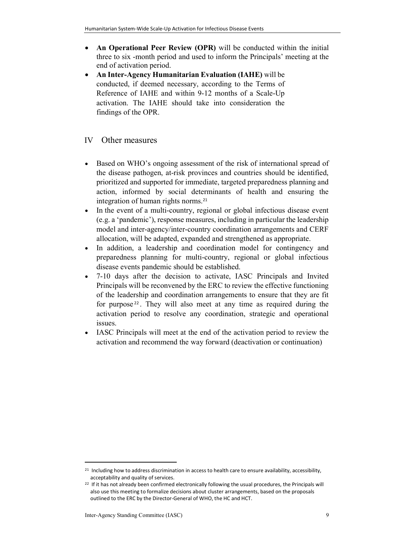- An Operational Peer Review (OPR) will be conducted within the initial three to six -month period and used to inform the Principals' meeting at the end of activation period.
- An Inter-Agency Humanitarian Evaluation (IAHE) will be conducted, if deemed necessary, according to the Terms of Reference of IAHE and within 9-12 months of a Scale-Up activation. The IAHE should take into consideration the findings of the OPR.

#### IV Other measures

- Based on WHO's ongoing assessment of the risk of international spread of the disease pathogen, at-risk provinces and countries should be identified, prioritized and supported for immediate, targeted preparedness planning and action, informed by social determinants of health and ensuring the integration of human rights norms.<sup>21</sup>
- In the event of a multi-country, regional or global infectious disease event (e.g. a 'pandemic'), response measures, including in particular the leadership model and inter-agency/inter-country coordination arrangements and CERF allocation, will be adapted, expanded and strengthened as appropriate.
- In addition, a leadership and coordination model for contingency and preparedness planning for multi-country, regional or global infectious disease events pandemic should be established.
- 7-10 days after the decision to activate, IASC Principals and Invited Principals will be reconvened by the ERC to review the effective functioning of the leadership and coordination arrangements to ensure that they are fit for purpose <sup>22</sup> . They will also meet at any time as required during the activation period to resolve any coordination, strategic and operational issues.
- IASC Principals will meet at the end of the activation period to review the activation and recommend the way forward (deactivation or continuation)

l

<sup>&</sup>lt;sup>21</sup> Including how to address discrimination in access to health care to ensure availability, accessibility, acceptability and quality of services.

<sup>&</sup>lt;sup>22</sup> If it has not already been confirmed electronically following the usual procedures, the Principals will also use this meeting to formalize decisions about cluster arrangements, based on the proposals outlined to the ERC by the Director-General of WHO, the HC and HCT.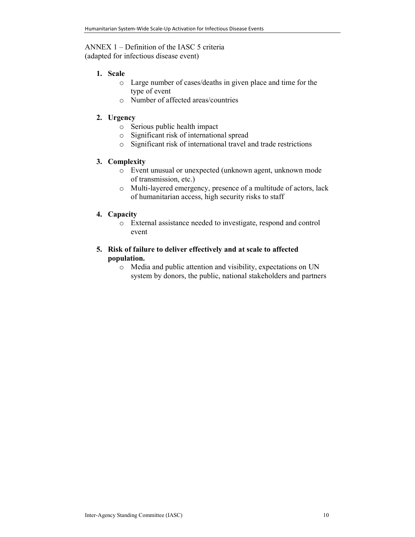ANNEX 1 – Definition of the IASC 5 criteria (adapted for infectious disease event)

#### 1. Scale

- o Large number of cases/deaths in given place and time for the type of event
- o Number of affected areas/countries

#### 2. Urgency

- o Serious public health impact
- o Significant risk of international spread
- o Significant risk of international travel and trade restrictions

#### 3. Complexity

- o Event unusual or unexpected (unknown agent, unknown mode of transmission, etc.)
- o Multi-layered emergency, presence of a multitude of actors, lack of humanitarian access, high security risks to staff

#### 4. Capacity

o External assistance needed to investigate, respond and control event

#### 5. Risk of failure to deliver effectively and at scale to affected population.

o Media and public attention and visibility, expectations on UN system by donors, the public, national stakeholders and partners